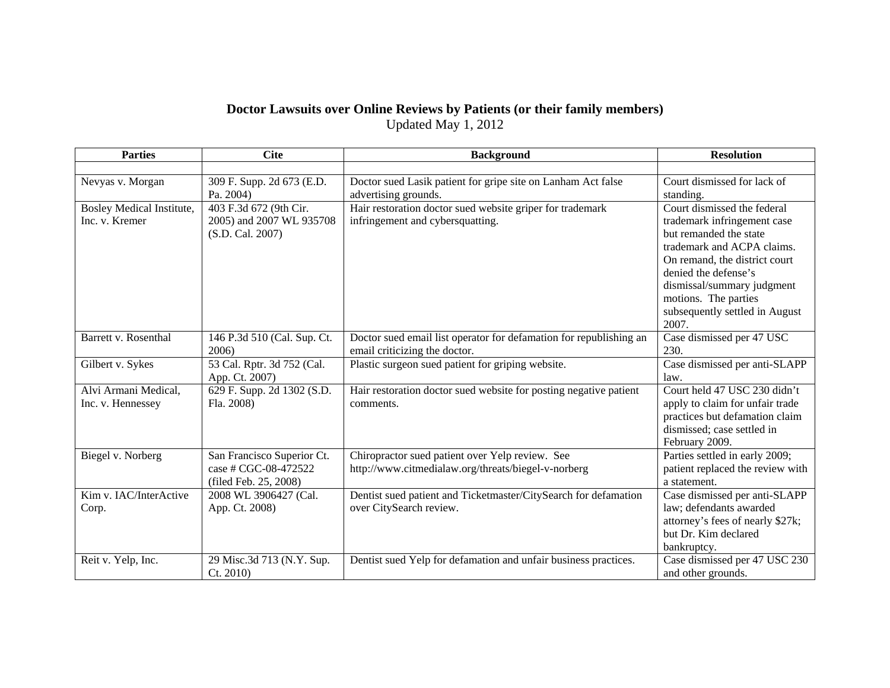## **Doctor Lawsuits over Online Reviews by Patients (or their family members)**

Updated May 1, 2012

| <b>Parties</b>            | <b>Cite</b>                 | <b>Background</b>                                                  | <b>Resolution</b>                |
|---------------------------|-----------------------------|--------------------------------------------------------------------|----------------------------------|
|                           |                             |                                                                    |                                  |
| Nevyas v. Morgan          | 309 F. Supp. 2d 673 (E.D.   | Doctor sued Lasik patient for gripe site on Lanham Act false       | Court dismissed for lack of      |
|                           | Pa. 2004)                   | advertising grounds.                                               | standing.                        |
| Bosley Medical Institute, | 403 F.3d 672 (9th Cir.      | Hair restoration doctor sued website griper for trademark          | Court dismissed the federal      |
| Inc. v. Kremer            | 2005) and 2007 WL 935708    | infringement and cybersquatting.                                   | trademark infringement case      |
|                           | (S.D. Cal. 2007)            |                                                                    | but remanded the state           |
|                           |                             |                                                                    | trademark and ACPA claims.       |
|                           |                             |                                                                    | On remand, the district court    |
|                           |                             |                                                                    | denied the defense's             |
|                           |                             |                                                                    | dismissal/summary judgment       |
|                           |                             |                                                                    | motions. The parties             |
|                           |                             |                                                                    | subsequently settled in August   |
|                           |                             |                                                                    | 2007.                            |
| Barrett v. Rosenthal      | 146 P.3d 510 (Cal. Sup. Ct. | Doctor sued email list operator for defamation for republishing an | Case dismissed per 47 USC        |
|                           | 2006)                       | email criticizing the doctor.                                      | 230.                             |
| Gilbert v. Sykes          | 53 Cal. Rptr. 3d 752 (Cal.  | Plastic surgeon sued patient for griping website.                  | Case dismissed per anti-SLAPP    |
|                           | App. Ct. 2007)              |                                                                    | law.                             |
| Alvi Armani Medical,      | 629 F. Supp. 2d 1302 (S.D.  | Hair restoration doctor sued website for posting negative patient  | Court held 47 USC 230 didn't     |
| Inc. v. Hennessey         | Fla. 2008)                  | comments.                                                          | apply to claim for unfair trade  |
|                           |                             |                                                                    | practices but defamation claim   |
|                           |                             |                                                                    | dismissed; case settled in       |
|                           |                             |                                                                    | February 2009.                   |
| Biegel v. Norberg         | San Francisco Superior Ct.  | Chiropractor sued patient over Yelp review. See                    | Parties settled in early 2009;   |
|                           | case # CGC-08-472522        | http://www.citmedialaw.org/threats/biegel-v-norberg                | patient replaced the review with |
|                           | (filed Feb. 25, 2008)       |                                                                    | a statement.                     |
| Kim v. IAC/InterActive    | 2008 WL 3906427 (Cal.       | Dentist sued patient and Ticketmaster/CitySearch for defamation    | Case dismissed per anti-SLAPP    |
| Corp.                     | App. Ct. 2008)              | over CitySearch review.                                            | law; defendants awarded          |
|                           |                             |                                                                    | attorney's fees of nearly \$27k; |
|                           |                             |                                                                    | but Dr. Kim declared             |
|                           |                             |                                                                    | bankruptcy.                      |
| Reit v. Yelp, Inc.        | 29 Misc.3d 713 (N.Y. Sup.   | Dentist sued Yelp for defamation and unfair business practices.    | Case dismissed per 47 USC 230    |
|                           | Ct. 2010                    |                                                                    | and other grounds.               |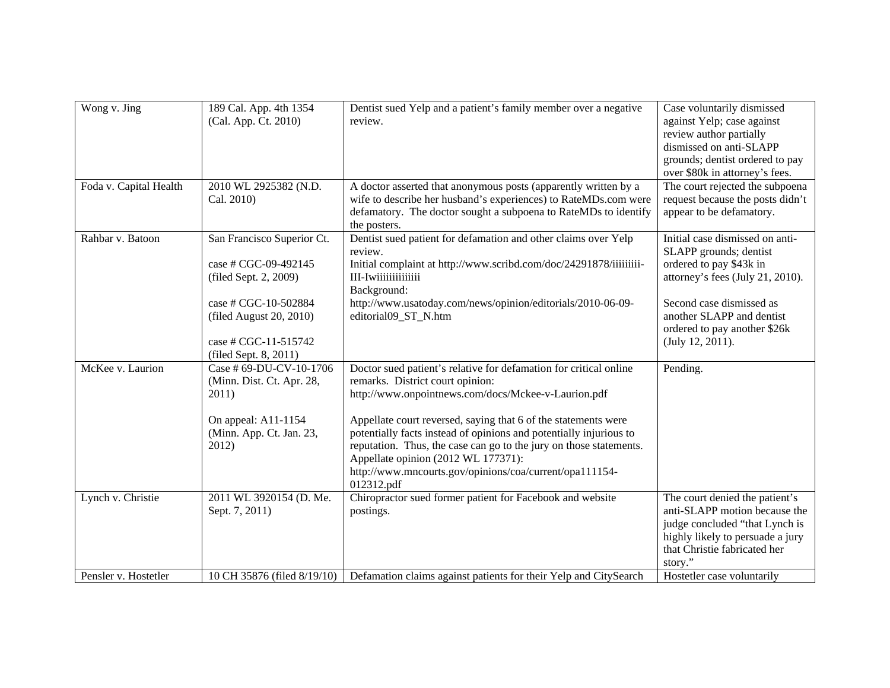| Wong v. Jing           | 189 Cal. App. 4th 1354<br>(Cal. App. Ct. 2010)                                                                                                                                  | Dentist sued Yelp and a patient's family member over a negative<br>review.                                                                                                                                                                                                                                                                                                                                                                                                                 | Case voluntarily dismissed<br>against Yelp; case against<br>review author partially<br>dismissed on anti-SLAPP<br>grounds; dentist ordered to pay<br>over \$80k in attorney's fees.                                                   |
|------------------------|---------------------------------------------------------------------------------------------------------------------------------------------------------------------------------|--------------------------------------------------------------------------------------------------------------------------------------------------------------------------------------------------------------------------------------------------------------------------------------------------------------------------------------------------------------------------------------------------------------------------------------------------------------------------------------------|---------------------------------------------------------------------------------------------------------------------------------------------------------------------------------------------------------------------------------------|
| Foda v. Capital Health | 2010 WL 2925382 (N.D.                                                                                                                                                           | A doctor asserted that anonymous posts (apparently written by a                                                                                                                                                                                                                                                                                                                                                                                                                            | The court rejected the subpoena                                                                                                                                                                                                       |
|                        | Cal. 2010)                                                                                                                                                                      | wife to describe her husband's experiences) to RateMDs.com were<br>defamatory. The doctor sought a subpoena to RateMDs to identify<br>the posters.                                                                                                                                                                                                                                                                                                                                         | request because the posts didn't<br>appear to be defamatory.                                                                                                                                                                          |
| Rahbar v. Batoon       | San Francisco Superior Ct.<br>case # CGC-09-492145<br>(filed Sept. 2, 2009)<br>case # CGC-10-502884<br>(filed August 20, 2010)<br>case # CGC-11-515742<br>(filed Sept. 8, 2011) | Dentist sued patient for defamation and other claims over Yelp<br>review.<br>Initial complaint at http://www.scribd.com/doc/24291878/iiiiiiiii-<br>III-Iwiiiiiiiiiiiiii<br>Background:<br>http://www.usatoday.com/news/opinion/editorials/2010-06-09-<br>editorial09_ST_N.htm                                                                                                                                                                                                              | Initial case dismissed on anti-<br>SLAPP grounds; dentist<br>ordered to pay \$43k in<br>attorney's fees (July 21, 2010).<br>Second case dismissed as<br>another SLAPP and dentist<br>ordered to pay another \$26k<br>(July 12, 2011). |
| McKee v. Laurion       | Case # 69-DU-CV-10-1706<br>(Minn. Dist. Ct. Apr. 28,<br>2011)<br>On appeal: A11-1154<br>(Minn. App. Ct. Jan. 23,<br>2012)                                                       | Doctor sued patient's relative for defamation for critical online<br>remarks. District court opinion:<br>http://www.onpointnews.com/docs/Mckee-v-Laurion.pdf<br>Appellate court reversed, saying that 6 of the statements were<br>potentially facts instead of opinions and potentially injurious to<br>reputation. Thus, the case can go to the jury on those statements.<br>Appellate opinion (2012 WL 177371):<br>http://www.mncourts.gov/opinions/coa/current/opa111154-<br>012312.pdf | Pending.                                                                                                                                                                                                                              |
| Lynch v. Christie      | 2011 WL 3920154 (D. Me.<br>Sept. 7, 2011)                                                                                                                                       | Chiropractor sued former patient for Facebook and website<br>postings.                                                                                                                                                                                                                                                                                                                                                                                                                     | The court denied the patient's<br>anti-SLAPP motion because the<br>judge concluded "that Lynch is<br>highly likely to persuade a jury<br>that Christie fabricated her<br>story."                                                      |
| Pensler v. Hostetler   | 10 CH 35876 (filed 8/19/10)                                                                                                                                                     | Defamation claims against patients for their Yelp and CitySearch                                                                                                                                                                                                                                                                                                                                                                                                                           | Hostetler case voluntarily                                                                                                                                                                                                            |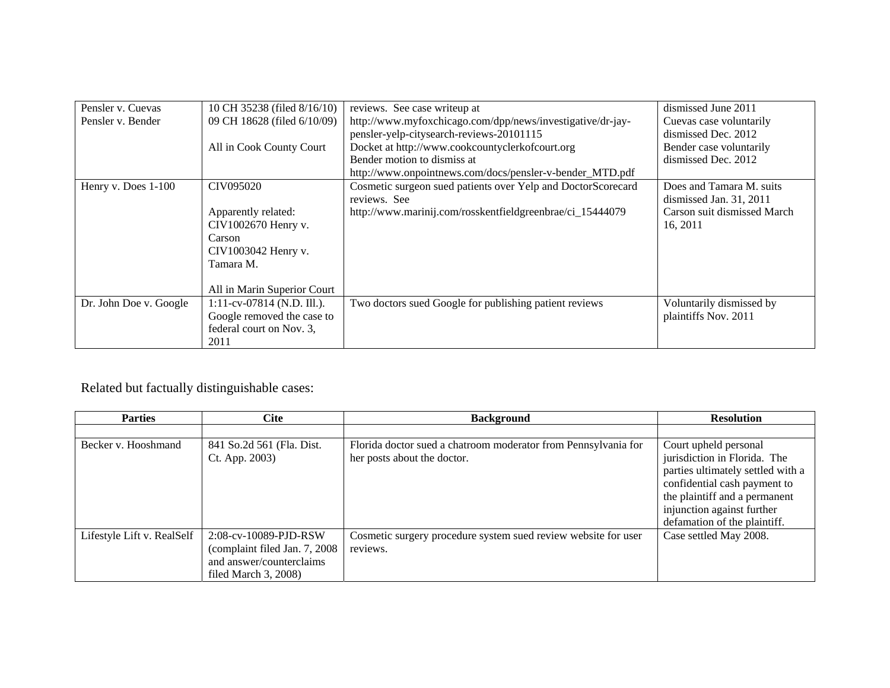| Pensler v. Cuevas      | 10 CH 35238 (filed 8/16/10)   | reviews. See case writeup at                                 | dismissed June 2011         |
|------------------------|-------------------------------|--------------------------------------------------------------|-----------------------------|
| Pensler v. Bender      | 09 CH 18628 (filed 6/10/09)   | http://www.myfoxchicago.com/dpp/news/investigative/dr-jay-   | Cuevas case voluntarily     |
|                        |                               | pensler-yelp-citysearch-reviews-20101115                     | dismissed Dec. 2012         |
|                        | All in Cook County Court      | Docket at http://www.cookcountyclerkofcourt.org              | Bender case voluntarily     |
|                        |                               | Bender motion to dismiss at                                  | dismissed Dec. 2012         |
|                        |                               | http://www.onpointnews.com/docs/pensler-v-bender_MTD.pdf     |                             |
| Henry v. Does 1-100    | CIV095020                     | Cosmetic surgeon sued patients over Yelp and DoctorScorecard | Does and Tamara M. suits    |
|                        |                               | reviews. See                                                 | dismissed Jan. 31, 2011     |
|                        | Apparently related:           | http://www.marinij.com/rosskentfieldgreenbrae/ci_15444079    | Carson suit dismissed March |
|                        | CIV1002670 Henry v.           |                                                              | 16, 2011                    |
|                        | Carson                        |                                                              |                             |
|                        | CIV1003042 Henry v.           |                                                              |                             |
|                        | Tamara M.                     |                                                              |                             |
|                        |                               |                                                              |                             |
|                        | All in Marin Superior Court   |                                                              |                             |
| Dr. John Doe v. Google | $1:11$ -cv-07814 (N.D. Ill.). | Two doctors sued Google for publishing patient reviews       | Voluntarily dismissed by    |
|                        | Google removed the case to    |                                                              | plaintiffs Nov. 2011        |
|                        | federal court on Nov. 3,      |                                                              |                             |
|                        | 2011                          |                                                              |                             |

## Related but factually distinguishable cases:

| <b>Parties</b>             | <b>Cite</b>                    | <b>Background</b>                                              | <b>Resolution</b>                 |
|----------------------------|--------------------------------|----------------------------------------------------------------|-----------------------------------|
|                            |                                |                                                                |                                   |
| Becker v. Hooshmand        | 841 So.2d 561 (Fla. Dist.      | Florida doctor sued a chatroom moderator from Pennsylvania for | Court upheld personal             |
|                            | Ct. App. 2003)                 | her posts about the doctor.                                    | jurisdiction in Florida. The      |
|                            |                                |                                                                | parties ultimately settled with a |
|                            |                                |                                                                | confidential cash payment to      |
|                            |                                |                                                                | the plaintiff and a permanent     |
|                            |                                |                                                                | injunction against further        |
|                            |                                |                                                                | defamation of the plaintiff.      |
| Lifestyle Lift v. RealSelf | 2:08-cv-10089-PJD-RSW          | Cosmetic surgery procedure system sued review website for user | Case settled May 2008.            |
|                            | (complaint filed Jan. 7, 2008) | reviews.                                                       |                                   |
|                            | and answer/counterclaims       |                                                                |                                   |
|                            | filed March $3, 2008$ )        |                                                                |                                   |